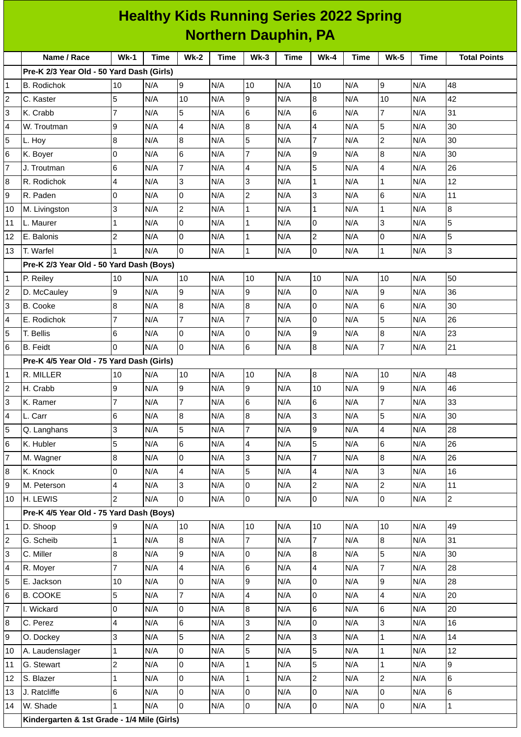| <b>Healthy Kids Running Series 2022 Spring</b><br><b>Northern Dauphin, PA</b> |                                           |                |                                 |                |             |                |             |                  |      |                |             |                     |
|-------------------------------------------------------------------------------|-------------------------------------------|----------------|---------------------------------|----------------|-------------|----------------|-------------|------------------|------|----------------|-------------|---------------------|
|                                                                               |                                           |                |                                 |                |             |                |             |                  |      |                |             |                     |
|                                                                               | Name / Race                               | $Wk-1$         | <b>Time</b>                     | $Wk-2$         | <b>Time</b> | $Wk-3$         | <b>Time</b> | $Wk-4$           | Time | <b>Wk-5</b>    | <b>Time</b> | <b>Total Points</b> |
|                                                                               | Pre-K 2/3 Year Old - 50 Yard Dash (Girls) |                |                                 |                |             |                |             |                  |      |                |             |                     |
| 1                                                                             | <b>B.</b> Rodichok                        | 10             | N/A                             | 9              | N/A         | 10             | N/A         | 10               | N/A  | 9              | N/A         | 48                  |
| $\overline{c}$                                                                | C. Kaster                                 | 5              | N/A                             | 10             | N/A         | 9              | N/A         | 8                | N/A  | 10             | N/A         | 42                  |
| 3                                                                             | K. Crabb                                  | $\overline{7}$ | N/A                             | 5              | N/A         | 6              | N/A         | $6\phantom{.}6$  | N/A  | $\overline{7}$ | N/A         | 31                  |
| 4                                                                             | W. Troutman                               | 9              | N/A                             | 4              | N/A         | 8              | N/A         | $\overline{4}$   | N/A  | 5              | N/A         | 30                  |
| 5                                                                             | L. Hoy                                    | 8              | N/A                             | 8              | N/A         | 5              | N/A         | $\overline{7}$   | N/A  | $\overline{c}$ | N/A         | 30                  |
| 6                                                                             | K. Boyer                                  | 0              | N/A                             | 6              | N/A         | $\overline{7}$ | N/A         | $\overline{9}$   | N/A  | 8              | N/A         | 30                  |
| 7                                                                             | J. Troutman                               | 6              | N/A                             | 7              | N/A         | 4              | N/A         | 5                | N/A  | 4              | N/A         | 26                  |
| 8                                                                             | R. Rodichok                               | 4              | N/A                             | 3              | N/A         | 3              | N/A         | $\mathbf{1}$     | N/A  | $\mathbf 1$    | N/A         | 12                  |
| 9                                                                             | R. Paden                                  | 0              | N/A                             | 0              | N/A         | $\overline{c}$ | N/A         | 3                | N/A  | $\,6$          | N/A         | 11                  |
| 10                                                                            | M. Livingston                             | 3              | N/A                             | 2              | N/A         | 1              | N/A         | 1                | N/A  | $\mathbf{1}$   | N/A         | $\bf{8}$            |
| 11                                                                            | L. Maurer                                 | 1              | N/A                             | 0              | N/A         | 1              | N/A         | $\overline{0}$   | N/A  | 3              | N/A         | 5                   |
| 12                                                                            | E. Balonis                                | $\overline{c}$ | N/A                             | $\mathsf{O}$   | N/A         | $\mathbf 1$    | N/A         | $\overline{c}$   | N/A  | $\mathbf 0$    | N/A         | 5                   |
| 13                                                                            | T. Warfel                                 | 1              | N/A                             | $\Omega$       | N/A         | $\mathbf{1}$   | N/A         | $\mathsf{O}$     | N/A  | $\mathbf 1$    | N/A         | 3                   |
|                                                                               | Pre-K 2/3 Year Old - 50 Yard Dash (Boys)  |                |                                 |                |             |                |             |                  |      |                |             |                     |
| 1                                                                             | P. Reiley                                 | 10             | N/A                             | 10             | N/A         | 10             | N/A         | 10               | N/A  | 10             | N/A         | 50                  |
| 2                                                                             | D. McCauley                               | 9              | N/A                             | 9              | N/A         | 9              | N/A         | 0                | N/A  | 9              | N/A         | 36                  |
| 3                                                                             | <b>B.</b> Cooke                           | 8              | N/A                             | 8              | N/A         | 8              | N/A         | 0                | N/A  | 6              | N/A         | 30                  |
| 4                                                                             | E. Rodichok                               | 7              | N/A                             | 7              | N/A         | 7              | N/A         | $\mathbf 0$      | N/A  | 5              | N/A         | 26                  |
| 5                                                                             | T. Bellis                                 | 6              | N/A                             | 0              | N/A         | 0              | N/A         | 9                | N/A  | 8              | N/A         | 23                  |
| 6                                                                             | <b>B.</b> Feidt                           | $\Omega$       | N/A                             | $\overline{0}$ | N/A         | 6              | N/A         | $\boldsymbol{8}$ | N/A  | $\overline{7}$ | N/A         | 21                  |
|                                                                               | Pre-K 4/5 Year Old - 75 Yard Dash (Girls) |                |                                 |                |             |                |             |                  |      |                |             |                     |
| 1                                                                             | R. MILLER                                 | 10             | N/A                             | 10             | N/A         | 10             | N/A         | $\bf 8$          | N/A  | 10             | N/A         | 48                  |
| 2                                                                             | H. Crabb                                  | 9              | N/A                             | 9              | N/A         | 9              | N/A         | 10               | N/A  | 9              | N/A         | 46                  |
| 3                                                                             | K. Ramer                                  | $\overline{7}$ | N/A                             | $\overline{7}$ | N/A         | $6\phantom{.}$ | N/A         | 6                | N/A  | $\overline{7}$ | N/A         | 33                  |
| 4                                                                             | L. Carr                                   | 6              | N/A                             | 8              | N/A         | 8              | N/A         | 3                | N/A  | 5              | N/A         | 30                  |
| 5                                                                             | Q. Langhans                               | 3              | N/A                             | 5              | N/A         | $\overline{7}$ | N/A         | 9                | N/A  | 4              | N/A         | 28                  |
| 6                                                                             | K. Hubler                                 | 5              | N/A                             | 6              | N/A         | 4              | N/A         | 5                | N/A  | $\,6$          | N/A         | 26                  |
| 7                                                                             | M. Wagner                                 | 8              | N/A                             | $\mathsf{O}$   | N/A         | 3              | N/A         | $\overline{7}$   | N/A  | 8              | N/A         | 26                  |
| 8                                                                             | K. Knock                                  | 0              | N/A                             | 4              | N/A         | 5              | N/A         | $\overline{4}$   | N/A  | 3              | N/A         | 16                  |
| 9                                                                             | M. Peterson                               | 4              | N/A                             | 3              | N/A         | 0              | N/A         | $\mathbf{2}$     | N/A  | $\overline{c}$ | N/A         | 11                  |
| 10                                                                            | H. LEWIS                                  | $\overline{2}$ | N/A                             | 0              | N/A         | $\mathsf 0$    | N/A         | $\mathsf{O}$     | N/A  | $\overline{0}$ | N/A         | $\overline{2}$      |
|                                                                               | Pre-K 4/5 Year Old - 75 Yard Dash (Boys)  |                |                                 |                |             |                |             |                  |      |                |             |                     |
| 1                                                                             | D. Shoop                                  | 9              | N/A                             | 10             | N/A         | 10             | N/A         | 10               | N/A  | 10             | N/A         | 49                  |
| $\overline{c}$                                                                | G. Scheib                                 | $\mathbf{1}$   | N/A                             | 8              | N/A         | $\overline{7}$ | N/A         | $\overline{7}$   | N/A  | 8              | N/A         | 31                  |
| 3                                                                             | C. Miller                                 | 8              | N/A                             | 9              | N/A         | 0              | N/A         | $\, 8$           | N/A  | 5              | N/A         | 30                  |
| 4                                                                             | R. Moyer                                  | $\overline{7}$ | N/A                             | $\overline{4}$ | N/A         | 6              | N/A         | $\overline{4}$   | N/A  | $\overline{7}$ | N/A         | 28                  |
| 5                                                                             | E. Jackson                                | 10             | N/A                             | 0              | N/A         | 9              | N/A         | 0                | N/A  | 9              | N/A         | 28                  |
| 6                                                                             | <b>B. COOKE</b>                           | 5              | N/A                             | $\overline{7}$ | N/A         | 4              | N/A         | $\mathsf{O}$     | N/A  | 4              | N/A         | 20                  |
| 7                                                                             | I. Wickard                                | 0              | N/A                             | 0              | N/A         | 8              | N/A         | $6\phantom{.}$   | N/A  | 6              | N/A         | 20                  |
| 8                                                                             | C. Perez                                  | 4              | N/A                             | 6              | N/A         | 3              | N/A         | $\pmb{0}$        | N/A  | 3              | N/A         | 16                  |
| 9                                                                             | O. Dockey                                 | 3              | N/A                             | 5              | N/A         | $\overline{c}$ | N/A         | 3                | N/A  | $\mathbf{1}$   | N/A         | 14                  |
| 10                                                                            | A. Laudenslager                           | 1              | N/A                             | 0              | N/A         | 5              | N/A         | 5                | N/A  | $\mathbf{1}$   | N/A         | 12                  |
| 11                                                                            | G. Stewart                                | $\overline{c}$ | N/A                             | 0              | N/A         | 1              | N/A         | 5                | N/A  | $\mathbf 1$    | N/A         | 9                   |
| 12                                                                            | S. Blazer                                 | $\mathbf 1$    | N/A                             | $\overline{0}$ | N/A         | $\mathbf{1}$   | N/A         | $\overline{c}$   | N/A  | $\overline{c}$ | N/A         | 6                   |
| 13                                                                            | J. Ratcliffe                              | 6              | N/A                             | 0              | N/A         | 0              | N/A         | 0                | N/A  | $\overline{0}$ | N/A         | $\,6$               |
| 14                                                                            | W. Shade                                  | $\mathbf{1}$   | N/A                             | 0              | N/A         | 0              | N/A         | $\mathsf 0$      | N/A  | 0              | N/A         | $\mathbf 1$         |
|                                                                               | Vindovasvien 0 1st Crede                  |                | $114$ Mile $(D_{\text{total}})$ |                |             |                |             |                  |      |                |             |                     |

**Kindergarten & 1st Grade - 1/4 Mile (Girls)**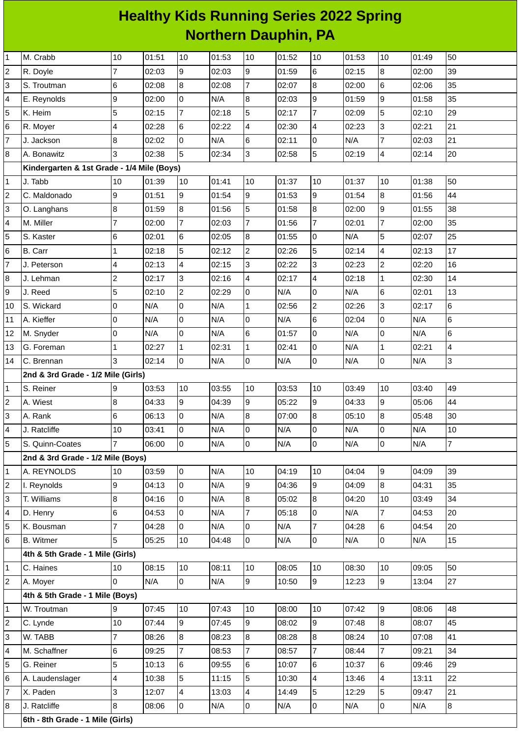## **Healthy Kids Running Series 2022 Spring Northern Dauphin, PA**

| 1              | M. Crabb                                   | 10             | 01:51 | 10             | 01:53 | 10             | 01:52 | 10             | 01:53 | 10             | 01:49 | 50                      |
|----------------|--------------------------------------------|----------------|-------|----------------|-------|----------------|-------|----------------|-------|----------------|-------|-------------------------|
| $\overline{c}$ | R. Doyle                                   | 7              | 02:03 | 9              | 02:03 | 9              | 01:59 | 6              | 02:15 | $\overline{8}$ | 02:00 | 39                      |
| 3              | S. Troutman                                | 6              | 02:08 | 8              | 02:08 | $\overline{7}$ | 02:07 | $\overline{8}$ | 02:00 | $\,6$          | 02:06 | 35                      |
| 4              | E. Reynolds                                | 9              | 02:00 | 0              | N/A   | 8              | 02:03 | 9              | 01:59 | $\overline{9}$ | 01:58 | 35                      |
| 5              | K. Heim                                    | 5              | 02:15 | $\overline{7}$ | 02:18 | 5              | 02:17 | $\overline{7}$ | 02:09 | 5              | 02:10 | 29                      |
| 6              | R. Moyer                                   | 4              | 02:28 | 6              | 02:22 | 4              | 02:30 | $\overline{4}$ | 02:23 | $\overline{3}$ | 02:21 | 21                      |
| $\overline{7}$ | J. Jackson                                 | 8              | 02:02 | 0              | N/A   | 6              | 02:11 | 0              | N/A   | 7              | 02:03 | 21                      |
| 8              | A. Bonawitz                                | 3              | 02:38 | 5              | 02:34 | 3              | 02:58 | 5              | 02:19 | $\overline{4}$ | 02:14 | 20                      |
|                | Kindergarten & 1st Grade - 1/4 Mile (Boys) |                |       |                |       |                |       |                |       |                |       |                         |
| $\mathbf 1$    | J. Tabb                                    | 10             | 01:39 | 10             | 01:41 | 10             | 01:37 | 10             | 01:37 | 10             | 01:38 | 50                      |
| $\overline{c}$ | C. Maldonado                               | 9              | 01:51 | 9              | 01:54 | 9              | 01:53 | g              | 01:54 | $\overline{8}$ | 01:56 | 44                      |
| 3              | O. Langhans                                | 8              | 01:59 | 8              | 01:56 | 5              | 01:58 | 8              | 02:00 | $\overline{9}$ | 01:55 | 38                      |
| 4              | M. Miller                                  | $\overline{7}$ | 02:00 | $\overline{7}$ | 02:03 | $\overline{7}$ | 01:56 | $\overline{7}$ | 02:01 | $\overline{7}$ | 02:00 | 35                      |
| 5              | S. Kaster                                  | 6              | 02:01 | 6              | 02:05 | 8              | 01:55 | l0             | N/A   | 5              | 02:07 | 25                      |
| 6              | <b>B.</b> Carr                             | $\mathbf 1$    | 02:18 | 5              | 02:12 | $\overline{c}$ | 02:26 | 5              | 02:14 | $\overline{4}$ | 02:13 | 17                      |
| $\overline{7}$ | J. Peterson                                | 4              | 02:13 | 4              | 02:15 | 3              | 02:22 | 3              | 02:23 | $\overline{c}$ | 02:20 | 16                      |
| 8              | J. Lehman                                  | $\overline{c}$ | 02:17 | 3              | 02:16 | 4              | 02:17 | $\overline{4}$ | 02:18 | $\mathbf{1}$   | 02:30 | 14                      |
| 9              | J. Reed                                    | 5              | 02:10 | $\overline{c}$ | 02:29 | 0              | N/A   | lo             | N/A   | $\,6$          | 02:01 | 13                      |
| 10             | S. Wickard                                 | 0              | N/A   | 0              | N/A   | $\mathbf{1}$   | 02:56 | $\overline{c}$ | 02:26 | 3              | 02:17 | 6                       |
| 11             | A. Kieffer                                 | 0              | N/A   | 0              | N/A   | 0              | N/A   | 6              | 02:04 | $\overline{0}$ | N/A   | $\,6$                   |
| 12             | M. Snyder                                  | 0              | N/A   | 0              | N/A   | 6              | 01:57 | lo             | N/A   | 0              | N/A   | 6                       |
| 13             | G. Foreman                                 | 1              | 02:27 | $\mathbf{1}$   | 02:31 | $\mathbf{1}$   | 02:41 | lo             | N/A   | $\mathbf{1}$   | 02:21 | $\overline{\mathbf{4}}$ |
| 14             | C. Brennan                                 | 3              | 02:14 | 0              | N/A   | 0              | N/A   | l0             | N/A   | $\overline{0}$ | N/A   | $\mathsf{S}$            |
|                | 2nd & 3rd Grade - 1/2 Mile (Girls)         |                |       |                |       |                |       |                |       |                |       |                         |
| 1              | S. Reiner                                  | 9              | 03:53 | 10             | 03:55 | 10             | 03:53 | 10             | 03:49 | 10             | 03:40 | 49                      |
| $\overline{c}$ | A. Wiest                                   | 8              | 04:33 | 9              | 04:39 | 9              | 05:22 | 9              | 04:33 | $\overline{9}$ | 05:06 | 44                      |
| 3              | A. Rank                                    | 6              | 06:13 | 0              | N/A   | 8              | 07:00 | $\overline{8}$ | 05:10 | 8              | 05:48 | 30                      |
| 4              | J. Ratcliffe                               | 10             | 03:41 | 0              | N/A   | 0              | N/A   | $\overline{0}$ | N/A   | 0              | N/A   | $10\,$                  |
| 5              | S. Quinn-Coates                            | $\overline{7}$ | 06:00 | $\overline{0}$ | N/A   | l0             | N/A   | l0             | N/A   | $\overline{0}$ | N/A   | $\overline{7}$          |
|                | 2nd & 3rd Grade - 1/2 Mile (Boys)          |                |       |                |       |                |       |                |       |                |       |                         |
| 1              | A. REYNOLDS                                | 10             | 03:59 | $\overline{0}$ | N/A   | 10             | 04:19 | 10             | 04:04 | $\overline{9}$ | 04:09 | 39                      |
| 2              | I. Reynolds                                | 9              | 04:13 | 0              | N/A   | 9              | 04:36 | 9              | 04:09 | 8              | 04:31 | 35                      |
| 3              | T. Williams                                | 8              | 04:16 | 0              | N/A   | 8              | 05:02 | 8              | 04:20 | 10             | 03:49 | 34                      |
| 4              | D. Henry                                   | 6              | 04:53 | 0              | N/A   | 7              | 05:18 | 0              | N/A   | 7              | 04:53 | 20                      |
| 5              | K. Bousman                                 | 7              | 04:28 | 0              | N/A   | 0              | N/A   | $\overline{7}$ | 04:28 | 6              | 04:54 | 20                      |
| 6              | <b>B.</b> Witmer                           | 5              | 05:25 | $10\,$         | 04:48 | 0              | N/A   | 0              | N/A   | 0              | N/A   | 15                      |
|                | 4th & 5th Grade - 1 Mile (Girls)           |                |       |                |       |                |       |                |       |                |       |                         |
| 1              | C. Haines                                  | 10             | 08:15 | $10\,$         | 08:11 | $10\,$         | 08:05 | 10             | 08:30 | 10             | 09:05 | 50                      |
| $\overline{c}$ | A. Moyer                                   | 0              | N/A   | 0              | N/A   | 9              | 10:50 | 9              | 12:23 | 9              | 13:04 | 27                      |
|                | 4th & 5th Grade - 1 Mile (Boys)            |                |       |                |       |                |       |                |       |                |       |                         |
| 1              | W. Troutman                                | 9              | 07:45 | 10             | 07:43 | 10             | 08:00 | 10             | 07:42 | $\overline{9}$ | 08:06 | 48                      |
| 2              | C. Lynde                                   | 10             | 07:44 | 9              | 07:45 | 9              | 08:02 | 9              | 07:48 | 8              | 08:07 | 45                      |
| 3              | W. TABB                                    | $\overline{7}$ | 08:26 | 8              | 08:23 | 8              | 08:28 | 8              | 08:24 | 10             | 07:08 | 41                      |
| 4              | M. Schaffner                               | 6              | 09:25 | $\overline{7}$ | 08:53 | 7              | 08:57 | $\overline{7}$ | 08:44 | $\overline{7}$ | 09:21 | 34                      |
| 5              | G. Reiner                                  | 5              | 10:13 | 6              | 09:55 | 6              | 10:07 | 6              | 10:37 | 6              | 09:46 | 29                      |
| 6              | A. Laudenslager                            | 4              | 10:38 | 5              | 11:15 | 5              | 10:30 | $\overline{4}$ | 13:46 | 4              | 13:11 | 22                      |
| 7              | X. Paden                                   | 3              | 12:07 | 4              | 13:03 | 4              | 14:49 | 5              | 12:29 | 5              | 09:47 | 21                      |
| 8              | J. Ratcliffe                               | 8              | 08:06 | 0              | N/A   | 0              | N/A   | l0             | N/A   | 0              | N/A   | 8                       |
|                | 6th - 8th Grade - 1 Mile (Girls)           |                |       |                |       |                |       |                |       |                |       |                         |
|                |                                            |                |       |                |       |                |       |                |       |                |       |                         |